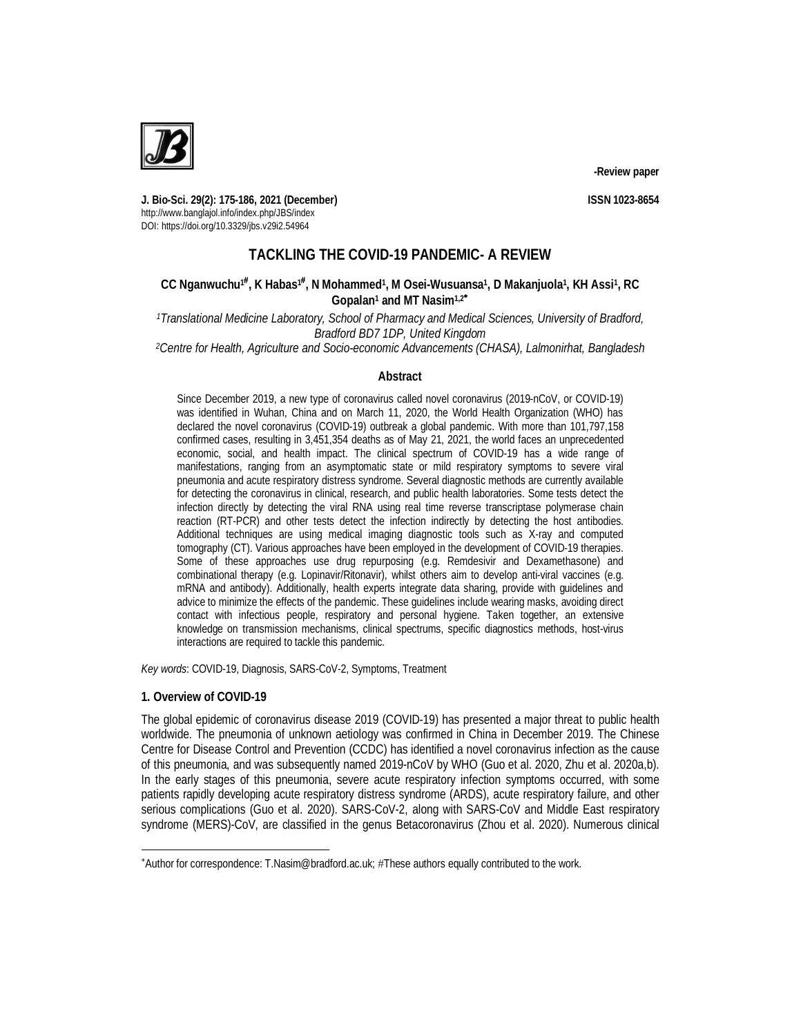

**J. Bio-Sci. 29(2): 175-186, 2021 (December) ISSN 1023-8654** http://www.banglajol.info/index.php/JBS/index DOI: https://doi.org/10.3329/jbs.v29i2.54964

# **TACKLING THE COVID-19 PANDEMIC- A REVIEW**

# $CC$  Nganwuchu<sup>†#</sup>, K Habas<sup>1#</sup>, N Mohammed<sup>1</sup>, M Osei-Wusuansa<sup>1</sup>, D Makanjuola<sup>1</sup>, KH Assi<sup>1</sup>, RC **Gopalan<sup>1</sup> and MT Nasim1,2**

*<sup>1</sup>Translational Medicine Laboratory, School of Pharmacy and Medical Sciences, University of Bradford, Bradford BD7 1DP, United Kingdom*

*<sup>2</sup>Centre for Health, Agriculture and Socio-economic Advancements (CHASA), Lalmonirhat, Bangladesh*

## **Abstract**

Since December 2019, a new type of coronavirus called novel coronavirus (2019-nCoV, or COVID-19) was identified in Wuhan, China and on March 11, 2020, the World Health Organization (WHO) has declared the novel coronavirus (COVID-19) outbreak a global pandemic. With more than 101,797,158 confirmed cases, resulting in 3,451,354 deaths as of May 21, 2021, the world faces an unprecedented economic, social, and health impact. The clinical spectrum of COVID-19 has a wide range of manifestations, ranging from an asymptomatic state or mild respiratory symptoms to severe viral pneumonia and acute respiratory distress syndrome. Several diagnostic methods are currently available for detecting the coronavirus in clinical, research, and public health laboratories. Some tests detect the infection directly by detecting the viral RNA using real time reverse transcriptase polymerase chain reaction (RT-PCR) and other tests detect the infection indirectly by detecting the host antibodies. Additional techniques are using medical imaging diagnostic tools such as X-ray and computed tomography (CT). Various approaches have been employed in the development of COVID-19 therapies. Some of these approaches use drug repurposing (e.g. Remdesivir and Dexamethasone) and combinational therapy (e.g. Lopinavir/Ritonavir), whilst others aim to develop anti-viral vaccines (e.g. mRNA and antibody). Additionally, health experts integrate data sharing, provide with guidelines and advice to minimize the effects of the pandemic. These guidelines include wearing masks, avoiding direct contact with infectious people, respiratory and personal hygiene. Taken together, an extensive knowledge on transmission mechanisms, clinical spectrums, specific diagnostics methods, host-virus interactions are required to tackle this pandemic.

*Key words*: COVID-19, Diagnosis, SARS-CoV-2, Symptoms, Treatment

## **1. Overview of COVID-19**

 $\overline{a}$ 

The global epidemic of coronavirus disease 2019 (COVID-19) has presented a major threat to public health worldwide. The pneumonia of unknown aetiology was confirmed in China in December 2019. The Chinese Centre for Disease Control and Prevention (CCDC) has identified a novel coronavirus infection as the cause of this pneumonia, and was subsequently named 2019-nCoV by WHO (Guo et al. 2020, Zhu et al. 2020a,b). In the early stages of this pneumonia, severe acute respiratory infection symptoms occurred, with some patients rapidly developing acute respiratory distress syndrome (ARDS), acute respiratory failure, and other serious complications (Guo et al. 2020). SARS-CoV-2, along with SARS-CoV and Middle East respiratory syndrome (MERS)-CoV, are classified in the genus Betacoronavirus (Zhou et al. 2020). Numerous clinical

<sup>\*</sup>Author for correspondence: T.Nasim@bradford.ac.uk; #These authors equally contributed to the work.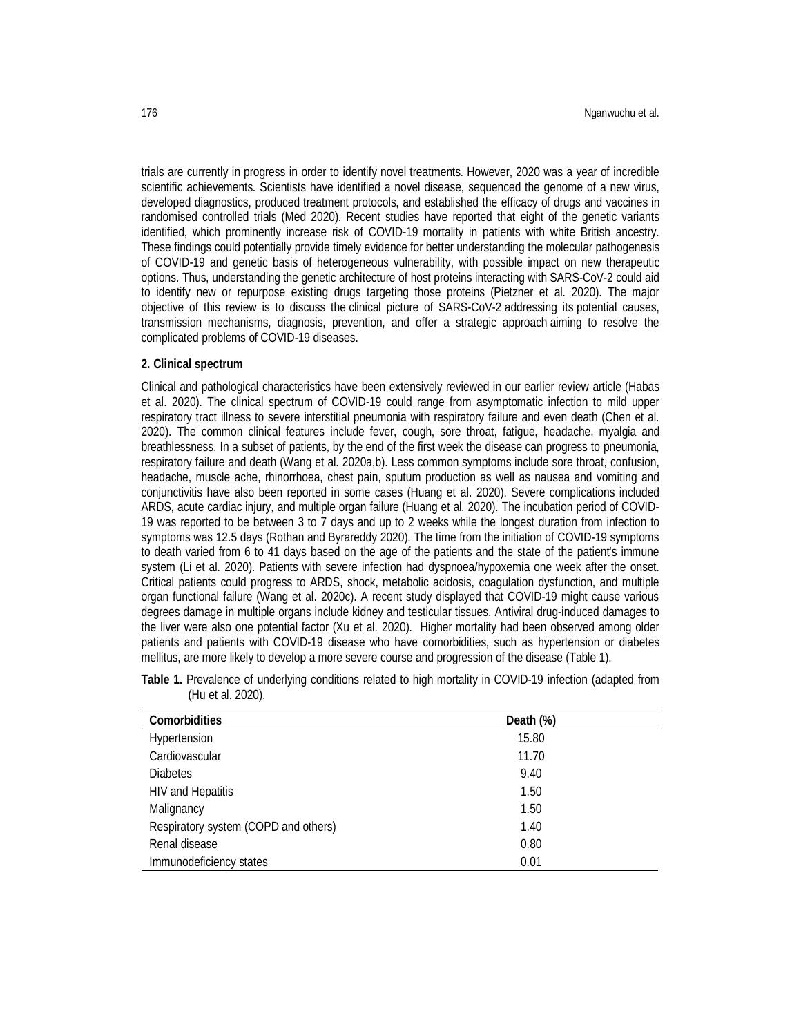trials are currently in progress in order to identify novel treatments. However, 2020 was a year of incredible scientific achievements. Scientists have identified a novel disease, sequenced the genome of a new virus, developed diagnostics, produced treatment protocols, and established the efficacy of drugs and vaccines in randomised controlled trials (Med 2020). Recent studies have reported that eight of the genetic variants identified, which prominently increase risk of COVID-19 mortality in patients with white British ancestry. These findings could potentially provide timely evidence for better understanding the molecular pathogenesis of COVID-19 and genetic basis of heterogeneous vulnerability, with possible impact on new therapeutic options. Thus, understanding the genetic architecture of host proteins interacting with SARS-CoV-2 could aid to identify new or repurpose existing drugs targeting those proteins (Pietzner et al. 2020). The major objective of this review is to discuss the clinical picture of SARS-CoV-2 addressing its potential causes, transmission mechanisms, diagnosis, prevention, and offer a strategic approach aiming to resolve the complicated problems of COVID-19 diseases.

### **2. Clinical spectrum**

Clinical and pathological characteristics have been extensively reviewed in our earlier review article (Habas et al. 2020). The clinical spectrum of COVID-19 could range from asymptomatic infection to mild upper respiratory tract illness to severe interstitial pneumonia with respiratory failure and even death (Chen et al. 2020). The common clinical features include fever, cough, sore throat, fatigue, headache, myalgia and breathlessness. In a subset of patients, by the end of the first week the disease can progress to pneumonia, respiratory failure and death (Wang et al. 2020a,b). Less common symptoms include sore throat, confusion, headache, muscle ache, rhinorrhoea, chest pain, sputum production as well as nausea and vomiting and conjunctivitis have also been reported in some cases (Huang et al. 2020). Severe complications included ARDS, acute cardiac injury, and multiple organ failure (Huang et al. 2020). The incubation period of COVID-19 was reported to be between 3 to 7 days and up to 2 weeks while the longest duration from infection to symptoms was 12.5 days (Rothan and Byrareddy 2020). The time from the initiation of COVID-19 symptoms to death varied from 6 to 41 days based on the age of the patients and the state of the patient's immune system (Li et al. 2020). Patients with severe infection had dyspnoea/hypoxemia one week after the onset. Critical patients could progress to ARDS, shock, metabolic acidosis, coagulation dysfunction, and multiple organ functional failure (Wang et al. 2020c). A recent study displayed that COVID-19 might cause various degrees damage in multiple organs include kidney and testicular tissues. Antiviral drug-induced damages to the liver were also one potential factor (Xu et al. 2020). Higher mortality had been observed among older patients and patients with COVID-19 disease who have comorbidities, such as hypertension or diabetes mellitus, are more likely to develop a more severe course and progression of the disease (Table 1).

| <b>Comorbidities</b>                 | Death (%) |  |
|--------------------------------------|-----------|--|
| Hypertension                         | 15.80     |  |
| Cardiovascular                       | 11.70     |  |
| <b>Diabetes</b>                      | 9.40      |  |
| <b>HIV and Hepatitis</b>             | 1.50      |  |
| Malignancy                           | 1.50      |  |
| Respiratory system (COPD and others) | 1.40      |  |
| Renal disease                        | 0.80      |  |
| Immunodeficiency states              | 0.01      |  |

| Table 1. Prevalence of underlying conditions related to high mortality in COVID-19 infection (adapted from |  |  |  |  |  |
|------------------------------------------------------------------------------------------------------------|--|--|--|--|--|
| (Hu et al. 2020).                                                                                          |  |  |  |  |  |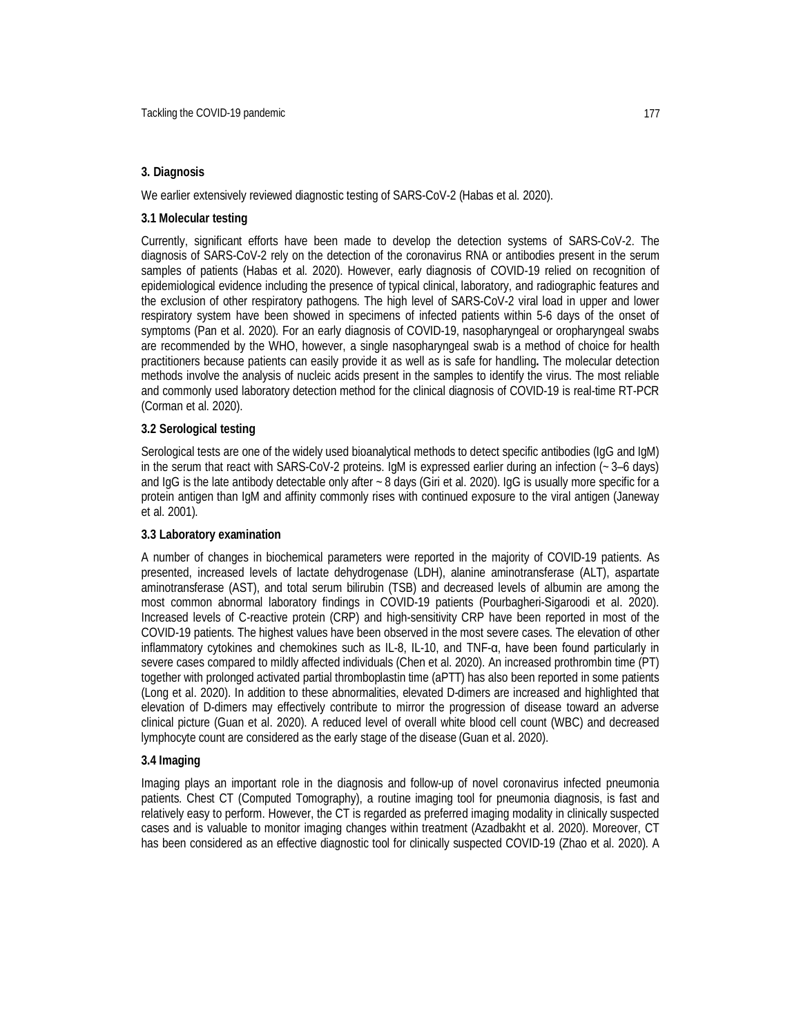### **3. Diagnosis**

We earlier extensively reviewed diagnostic testing of SARS-CoV-2 (Habas et al. 2020).

#### **3.1 Molecular testing**

Currently, significant efforts have been made to develop the detection systems of SARS-CoV-2. The diagnosis of SARS-CoV-2 rely on the detection of the coronavirus RNA or antibodies present in the serum samples of patients (Habas et al. 2020). However, early diagnosis of COVID-19 relied on recognition of epidemiological evidence including the presence of typical clinical, laboratory, and radiographic features and the exclusion of other respiratory pathogens. The high level of SARS-CoV-2 viral load in upper and lower respiratory system have been showed in specimens of infected patients within 5-6 days of the onset of symptoms (Pan et al. 2020). For an early diagnosis of COVID-19, nasopharyngeal or oropharyngeal swabs are recommended by the WHO, however, a single nasopharyngeal swab is a method of choice for health practitioners because patients can easily provide it as well as is safe for handling**.** The molecular detection methods involve the analysis of nucleic acids present in the samples to identify the virus. The most reliable and commonly used laboratory detection method for the clinical diagnosis of COVID-19 is real-time RT-PCR (Corman et al. 2020).

#### **3.2 Serological testing**

Serological tests are one of the widely used bioanalytical methods to detect specific antibodies (IgG and IgM) in the serum that react with SARS-CoV-2 proteins. IgM is expressed earlier during an infection (~ 3–6 days) and IgG is the late antibody detectable only after ~8 days (Giri et al. 2020). IgG is usually more specific for a protein antigen than IgM and affinity commonly rises with continued exposure to the viral antigen (Janeway et al. 2001).

#### **3.3 Laboratory examination**

A number of changes in biochemical parameters were reported in the majority of COVID-19 patients. As presented, increased levels of lactate dehydrogenase (LDH), alanine aminotransferase (ALT), aspartate aminotransferase (AST), and total serum bilirubin (TSB) and decreased levels of albumin are among the most common abnormal laboratory findings in COVID-19 patients (Pourbagheri-Sigaroodi et al. 2020). Increased levels of C-reactive protein (CRP) and high-sensitivity CRP have been reported in most of the COVID-19 patients. The highest values have been observed in the most severe cases. The elevation of other inflammatory cytokines and chemokines such as IL-8, IL-10, and TNF-α, have been found particularly in severe cases compared to mildly affected individuals (Chen et al. 2020). An increased prothrombin time (PT) together with prolonged activated partial thromboplastin time (aPTT) has also been reported in some patients (Long et al. 2020). In addition to these abnormalities, elevated D-dimers are increased and highlighted that elevation of D-dimers may effectively contribute to mirror the progression of disease toward an adverse clinical picture (Guan et al. 2020). A reduced level of overall white blood cell count (WBC) and decreased lymphocyte count are considered as the early stage of the disease (Guan et al. 2020).

#### **3.4 Imaging**

Imaging plays an important role in the diagnosis and follow-up of novel coronavirus infected pneumonia patients. Chest CT (Computed Tomography), a routine imaging tool for pneumonia diagnosis, is fast and relatively easy to perform. However, the CT is regarded as preferred imaging modality in clinically suspected cases and is valuable to monitor imaging changes within treatment (Azadbakht et al. 2020). Moreover, CT has been considered as an effective diagnostic tool for clinically suspected COVID-19 (Zhao et al. 2020). A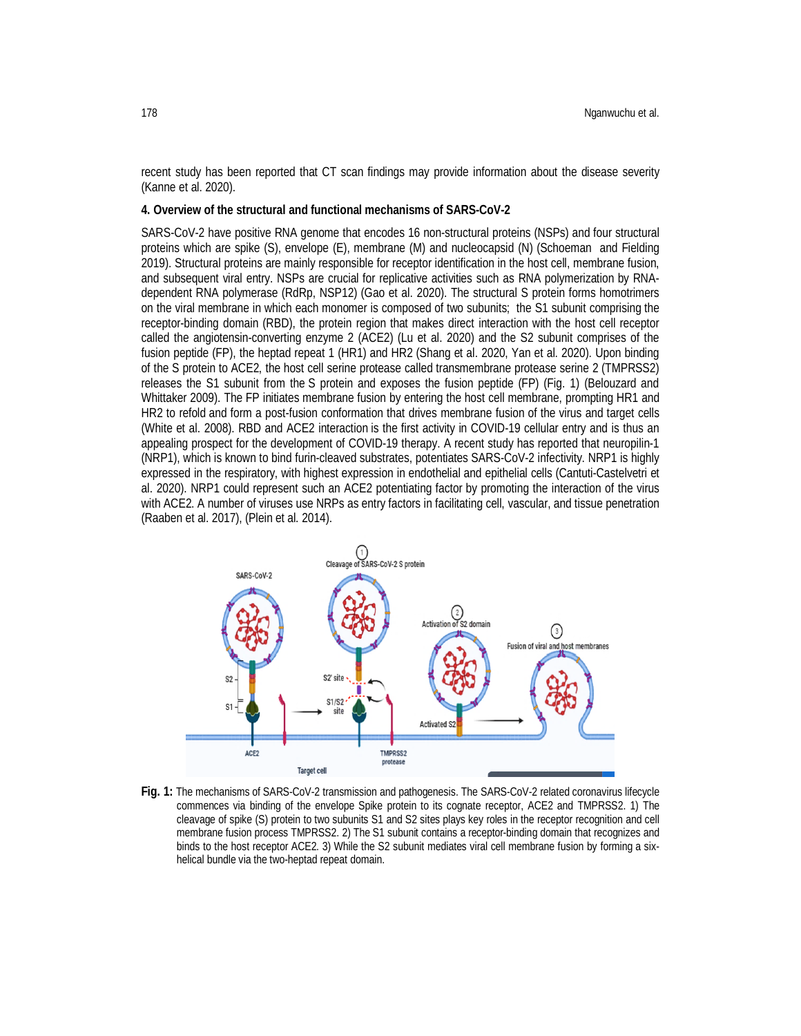recent study has been reported that CT scan findings may provide information about the disease severity (Kanne et al. 2020).

#### **4. Overview of the structural and functional mechanisms of SARS-CoV-2**

SARS-CoV-2 have positive RNA genome that encodes 16 non-structural proteins (NSPs) and four structural proteins which are spike (S), envelope (E), membrane (M) and nucleocapsid (N) (Schoeman and Fielding 2019). Structural proteins are mainly responsible for receptor identification in the host cell, membrane fusion, and subsequent viral entry. NSPs are crucial for replicative activities such as RNA polymerization by RNAdependent RNA polymerase (RdRp, NSP12) (Gao et al. 2020). The structural S protein forms homotrimers on the viral membrane in which each monomer is composed of two subunits; the S1 subunit comprising the receptor-binding domain (RBD), the protein region that makes direct interaction with the host cell receptor called the angiotensin-converting enzyme 2 (ACE2) (Lu et al. 2020) and the S2 subunit comprises of the fusion peptide (FP), the heptad repeat 1 (HR1) and HR2 (Shang et al. 2020, Yan et al. 2020). Upon binding of the S protein to ACE2, the host cell serine protease called transmembrane protease serine 2 (TMPRSS2) releases the S1 subunit from the S protein and exposes the fusion peptide (FP) (Fig. 1) (Belouzard and Whittaker 2009). The FP initiates membrane fusion by entering the host cell membrane, prompting HR1 and HR2 to refold and form a post-fusion conformation that drives membrane fusion of the virus and target cells (White et al. 2008). RBD and ACE2 interaction is the first activity in COVID-19 cellular entry and is thus an appealing prospect for the development of COVID-19 therapy. A recent study has reported that neuropilin-1 (NRP1), which is known to bind furin-cleaved substrates, potentiates SARS-CoV-2 infectivity. NRP1 is highly expressed in the respiratory, with highest expression in endothelial and epithelial cells (Cantuti-Castelvetri et al. 2020). NRP1 could represent such an ACE2 potentiating factor by promoting the interaction of the virus with ACE2. A number of viruses use NRPs as entry factors in facilitating cell, vascular, and tissue penetration (Raaben et al. 2017), (Plein et al. 2014).



**Fig. 1:** The mechanisms of SARS-CoV-2 transmission and pathogenesis. The SARS-CoV-2 related coronavirus lifecycle commences via binding of the envelope Spike protein to its cognate receptor, ACE2 and TMPRSS2. 1) The cleavage of spike (S) protein to two subunits S1 and S2 sites plays key roles in the receptor recognition and cell membrane fusion process TMPRSS2. 2) The S1 subunit contains a receptor-binding domain that recognizes and binds to the host receptor ACE2. 3) While the S2 subunit mediates viral cell membrane fusion by forming a sixhelical bundle via the two-heptad repeat domain.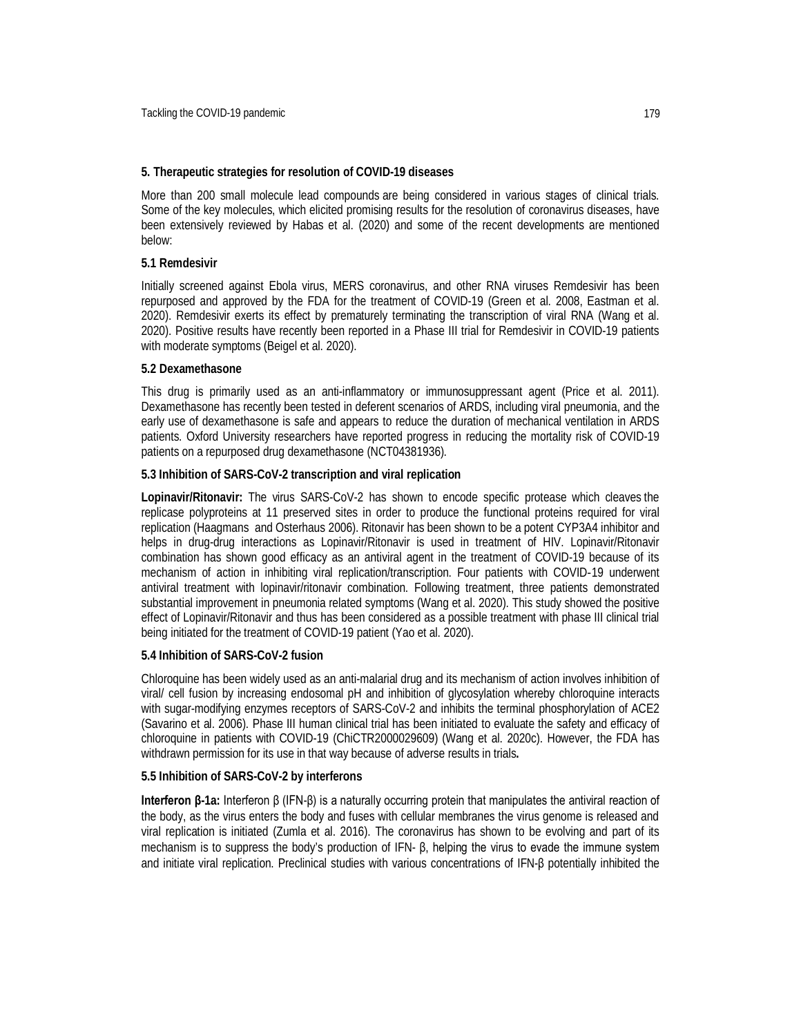#### **5. Therapeutic strategies for resolution of COVID-19 diseases**

More than 200 small molecule lead compounds are being considered in various stages of clinical trials. Some of the key molecules, which elicited promising results for the resolution of coronavirus diseases, have been extensively reviewed by Habas et al. (2020) and some of the recent developments are mentioned below:

#### **5.1 Remdesivir**

Initially screened against Ebola virus, MERS coronavirus, and other RNA viruses Remdesivir has been repurposed and approved by the FDA for the treatment of COVID-19 (Green et al. 2008, Eastman et al. 2020). Remdesivir exerts its effect by prematurely terminating the transcription of viral RNA (Wang et al. 2020). Positive results have recently been reported in a Phase III trial for Remdesivir in COVID-19 patients with moderate symptoms (Beigel et al. 2020).

#### **5.2 Dexamethasone**

This drug is primarily used as an anti-inflammatory or immunosuppressant agent (Price et al. 2011). Dexamethasone has recently been tested in deferent scenarios of ARDS, including viral pneumonia, and the early use of dexamethasone is safe and appears to reduce the duration of mechanical ventilation in ARDS patients. Oxford University researchers have reported progress in reducing the mortality risk of COVID-19 patients on a repurposed drug dexamethasone (NCT04381936).

#### **5.3 Inhibition of SARS-CoV-2 transcription and viral replication**

**Lopinavir/Ritonavir:** The virus SARS-CoV-2 has shown to encode specific protease which cleaves the replicase polyproteins at 11 preserved sites in order to produce the functional proteins required for viral replication (Haagmans and Osterhaus 2006). Ritonavir has been shown to be a potent CYP3A4 inhibitor and helps in drug-drug interactions as Lopinavir/Ritonavir is used in treatment of HIV. Lopinavir/Ritonavir combination has shown good efficacy as an antiviral agent in the treatment of COVID-19 because of its mechanism of action in inhibiting viral replication/transcription. Four patients with COVID‐19 underwent antiviral treatment with lopinavir/ritonavir combination. Following treatment, three patients demonstrated substantial improvement in pneumonia related symptoms (Wang et al. 2020). This study showed the positive effect of Lopinavir/Ritonavir and thus has been considered as a possible treatment with phase III clinical trial being initiated for the treatment of COVID-19 patient (Yao et al. 2020).

#### **5.4 Inhibition of SARS-CoV-2 fusion**

Chloroquine has been widely used as an anti-malarial drug and its mechanism of action involves inhibition of viral/ cell fusion by increasing endosomal pH and inhibition of glycosylation whereby chloroquine interacts with sugar-modifying enzymes receptors of SARS-CoV-2 and inhibits the terminal phosphorylation of ACE2 (Savarino et al. 2006). Phase III human clinical trial has been initiated to evaluate the safety and efficacy of chloroquine in patients with COVID-19 (ChiCTR2000029609) (Wang et al. 2020c). However, the FDA has withdrawn permission for its use in that way because of adverse results in trials**.** 

#### **5.5 Inhibition of SARS-CoV-2 by interferons**

**Interferon β-1a:** Interferon β (IFN-β) is a naturally occurring protein that manipulates the antiviral reaction of the body, as the virus enters the body and fuses with cellular membranes the virus genome is released and viral replication is initiated (Zumla et al. 2016). The coronavirus has shown to be evolving and part of its mechanism is to suppress the body's production of IFN- β, helping the virus to evade the immune system and initiate viral replication. Preclinical studies with various concentrations of IFN-β potentially inhibited the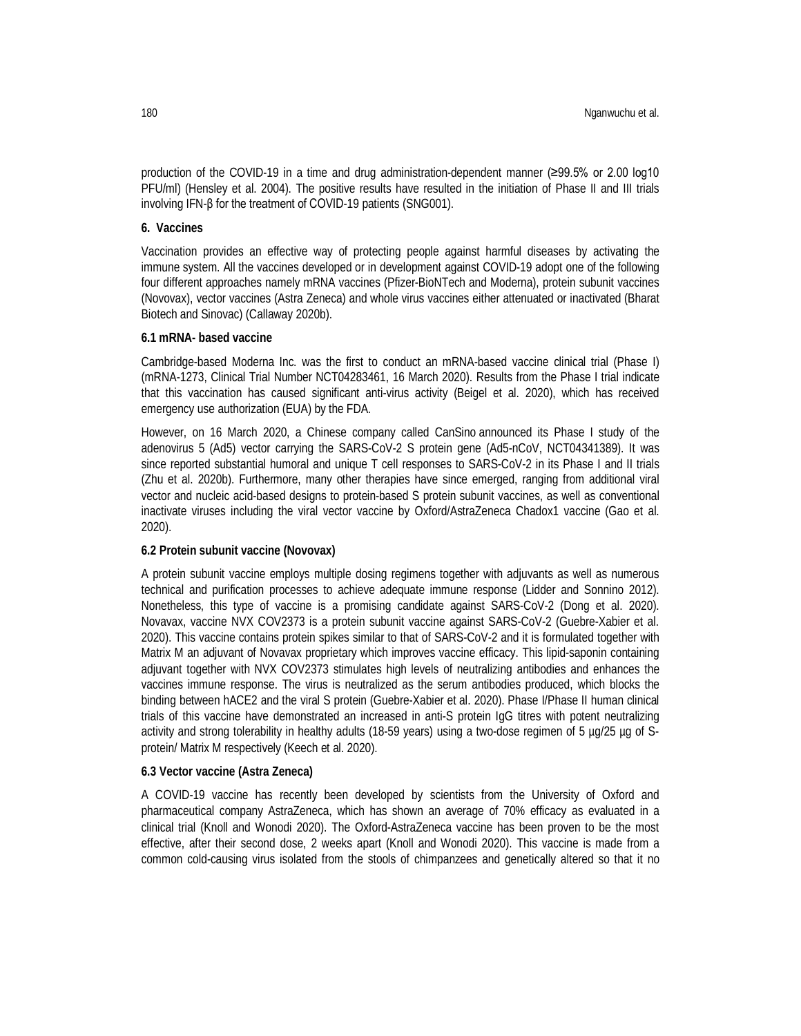production of the COVID-19 in a time and drug administration-dependent manner (≥99.5% or 2.00 log10 PFU/ml) (Hensley et al. 2004). The positive results have resulted in the initiation of Phase II and III trials involving IFN-β for the treatment of COVID-19 patients (SNG001).

### **6. Vaccines**

Vaccination provides an effective way of protecting people against harmful diseases by activating the immune system. All the vaccines developed or in development against COVID-19 adopt one of the following four different approaches namely mRNA vaccines (Pfizer-BioNTech and Moderna), protein subunit vaccines (Novovax), vector vaccines (Astra Zeneca) and whole virus vaccines either attenuated or inactivated (Bharat Biotech and Sinovac) (Callaway 2020b).

### **6.1 mRNA- based vaccine**

Cambridge-based Moderna Inc. was the first to conduct an mRNA-based vaccine clinical trial (Phase I) (mRNA-1273, Clinical Trial Number NCT04283461, 16 March 2020). Results from the Phase I trial indicate that this vaccination has caused significant anti-virus activity (Beigel et al. 2020), which has received emergency use authorization (EUA) by the FDA.

However, on 16 March 2020, a Chinese company called CanSino announced its Phase I study of the adenovirus 5 (Ad5) vector carrying the SARS-CoV-2 S protein gene (Ad5-nCoV, NCT04341389). It was since reported substantial humoral and unique T cell responses to SARS-CoV-2 in its Phase I and II trials (Zhu et al. 2020b). Furthermore, many other therapies have since emerged, ranging from additional viral vector and nucleic acid-based designs to protein-based S protein subunit vaccines, as well as conventional inactivate viruses including the viral vector vaccine by Oxford/AstraZeneca Chadox1 vaccine (Gao et al. 2020).

## **6.2 Protein subunit vaccine (Novovax)**

A protein subunit vaccine employs multiple dosing regimens together with adjuvants as well as numerous technical and purification processes to achieve adequate immune response (Lidder and Sonnino 2012). Nonetheless, this type of vaccine is a promising candidate against SARS-CoV-2 (Dong et al. 2020). Novavax, vaccine NVX COV2373 is a protein subunit vaccine against SARS-CoV-2 (Guebre-Xabier et al. 2020). This vaccine contains protein spikes similar to that of SARS-CoV-2 and it is formulated together with Matrix M an adjuvant of Novavax proprietary which improves vaccine efficacy. This lipid-saponin containing adjuvant together with NVX COV2373 stimulates high levels of neutralizing antibodies and enhances the vaccines immune response. The virus is neutralized as the serum antibodies produced, which blocks the binding between hACE2 and the viral S protein (Guebre-Xabier et al. 2020). Phase I/Phase II human clinical trials of this vaccine have demonstrated an increased in anti-S protein IgG titres with potent neutralizing activity and strong tolerability in healthy adults (18-59 years) using a two-dose regimen of 5 µg/25 µg of Sprotein/ Matrix M respectively (Keech et al. 2020).

#### **6.3 Vector vaccine (Astra Zeneca)**

A COVID-19 vaccine has recently been developed by scientists from the University of Oxford and pharmaceutical company AstraZeneca, which has shown an average of 70% efficacy as evaluated in a clinical trial (Knoll and Wonodi 2020). The Oxford-AstraZeneca vaccine has been proven to be the most effective, after their second dose, 2 weeks apart (Knoll and Wonodi 2020). This vaccine is made from a common cold-causing virus isolated from the stools of chimpanzees and genetically altered so that it no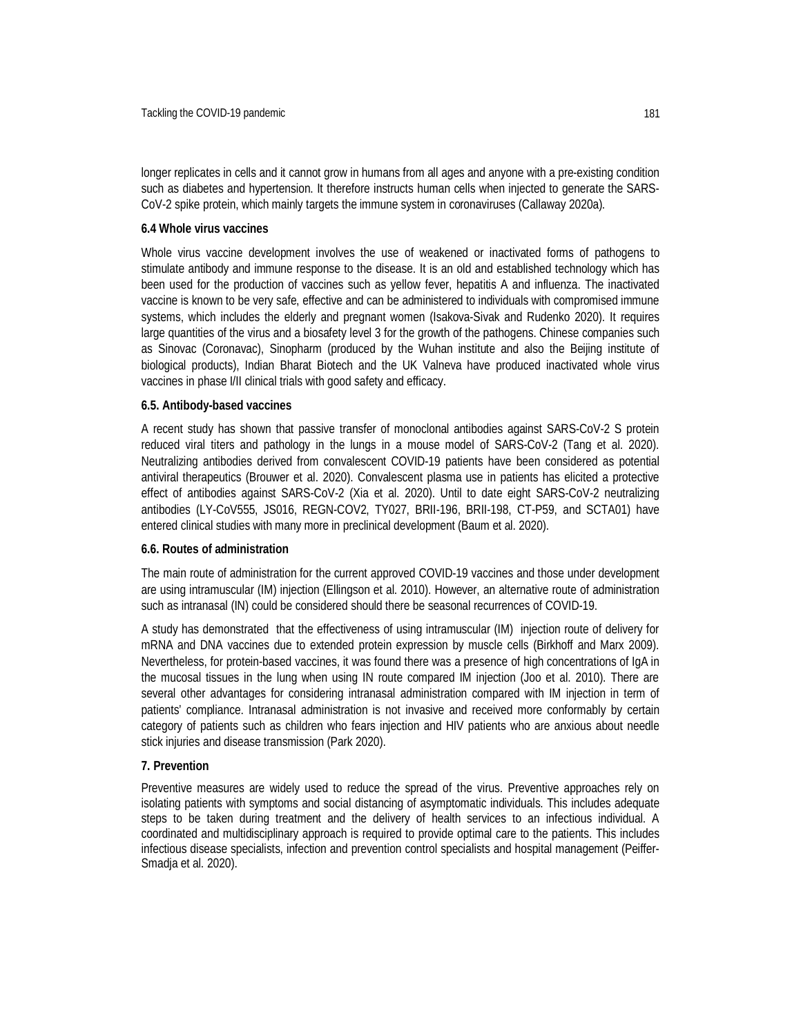longer replicates in cells and it cannot grow in humans from all ages and anyone with a pre-existing condition such as diabetes and hypertension. It therefore instructs human cells when injected to generate the SARS-CoV-2 spike protein, which mainly targets the immune system in coronaviruses (Callaway 2020a).

#### **6.4 Whole virus vaccines**

Whole virus vaccine development involves the use of weakened or inactivated forms of pathogens to stimulate antibody and immune response to the disease. It is an old and established technology which has been used for the production of vaccines such as yellow fever, hepatitis A and influenza. The inactivated vaccine is known to be very safe, effective and can be administered to individuals with compromised immune systems, which includes the elderly and pregnant women (Isakova-Sivak and Rudenko 2020). It requires large quantities of the virus and a biosafety level 3 for the growth of the pathogens. Chinese companies such as Sinovac (Coronavac), Sinopharm (produced by the Wuhan institute and also the Beijing institute of biological products), Indian Bharat Biotech and the UK Valneva have produced inactivated whole virus vaccines in phase I/II clinical trials with good safety and efficacy.

### **6.5. Antibody-based vaccines**

A recent study has shown that passive transfer of monoclonal antibodies against SARS-CoV-2 S protein reduced viral titers and pathology in the lungs in a mouse model of SARS-CoV-2 (Tang et al. 2020). Neutralizing antibodies derived from convalescent COVID-19 patients have been considered as potential antiviral therapeutics (Brouwer et al. 2020). Convalescent plasma use in patients has elicited a protective effect of antibodies against SARS-CoV-2 (Xia et al. 2020). Until to date eight SARS-CoV-2 neutralizing antibodies (LY-CoV555, JS016, REGN-COV2, TY027, BRII-196, BRII-198, CT-P59, and SCTA01) have entered clinical studies with many more in preclinical development (Baum et al. 2020).

#### **6.6. Routes of administration**

The main route of administration for the current approved COVID-19 vaccines and those under development are using intramuscular (IM) injection (Ellingson et al. 2010). However, an alternative route of administration such as intranasal (IN) could be considered should there be seasonal recurrences of COVID-19.

A study has demonstrated that the effectiveness of using intramuscular (IM) injection route of delivery for mRNA and DNA vaccines due to extended protein expression by muscle cells (Birkhoff and Marx 2009). Nevertheless, for protein-based vaccines, it was found there was a presence of high concentrations of IgA in the mucosal tissues in the lung when using IN route compared IM injection (Joo et al. 2010). There are several other advantages for considering intranasal administration compared with IM injection in term of patients' compliance. Intranasal administration is not invasive and received more conformably by certain category of patients such as children who fears injection and HIV patients who are anxious about needle stick injuries and disease transmission (Park 2020).

## **7. Prevention**

Preventive measures are widely used to reduce the spread of the virus. Preventive approaches rely on isolating patients with symptoms and social distancing of asymptomatic individuals. This includes adequate steps to be taken during treatment and the delivery of health services to an infectious individual. A coordinated and multidisciplinary approach is required to provide optimal care to the patients. This includes infectious disease specialists, infection and prevention control specialists and hospital management (Peiffer-Smadja et al. 2020).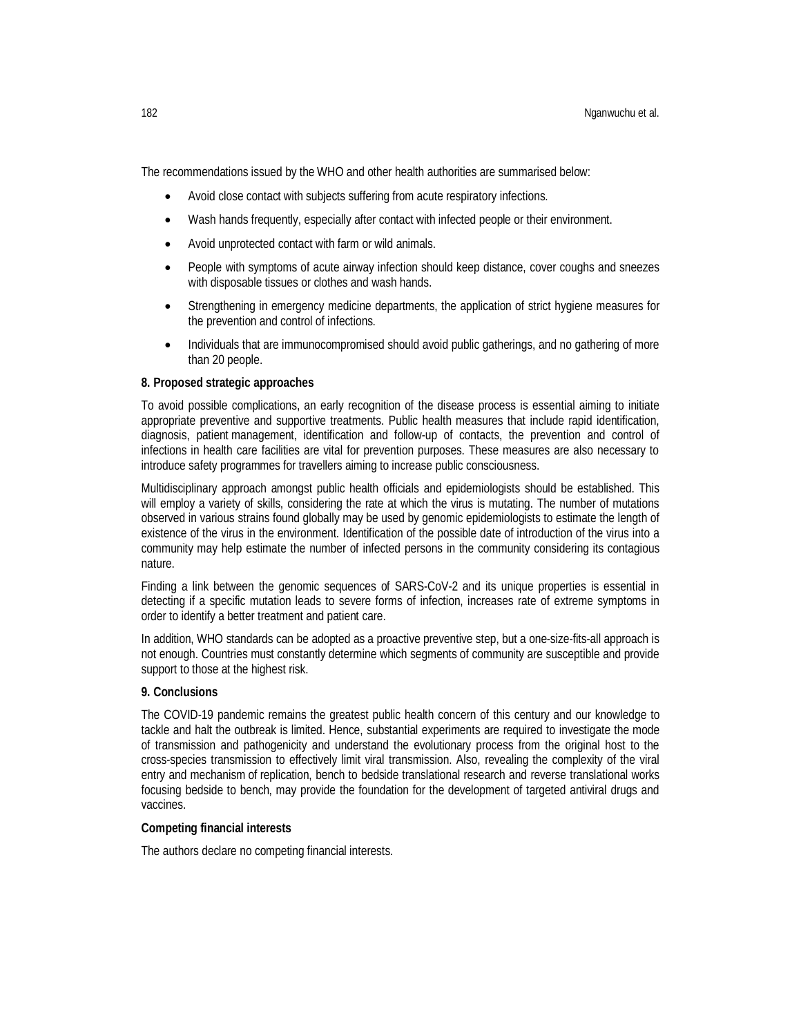The recommendations issued by the WHO and other health authorities are summarised below:

- Avoid close contact with subjects suffering from acute respiratory infections.
- Wash hands frequently, especially after contact with infected people or their environment.
- Avoid unprotected contact with farm or wild animals.
- People with symptoms of acute airway infection should keep distance, cover coughs and sneezes with disposable tissues or clothes and wash hands.
- Strengthening in emergency medicine departments, the application of strict hygiene measures for the prevention and control of infections.
- Individuals that are immunocompromised should avoid public gatherings, and no gathering of more than 20 people.

#### **8. Proposed strategic approaches**

To avoid possible complications, an early recognition of the disease process is essential aiming to initiate appropriate preventive and supportive treatments. Public health measures that include rapid identification, diagnosis, patient management, identification and follow-up of contacts, the prevention and control of infections in health care facilities are vital for prevention purposes. These measures are also necessary to introduce safety programmes for travellers aiming to increase public consciousness.

Multidisciplinary approach amongst public health officials and epidemiologists should be established. This will employ a variety of skills, considering the rate at which the virus is mutating. The number of mutations observed in various strains found globally may be used by genomic epidemiologists to estimate the length of existence of the virus in the environment. Identification of the possible date of introduction of the virus into a community may help estimate the number of infected persons in the community considering its contagious nature.

Finding a link between the genomic sequences of SARS-CoV-2 and its unique properties is essential in detecting if a specific mutation leads to severe forms of infection, increases rate of extreme symptoms in order to identify a better treatment and patient care.

In addition, WHO standards can be adopted as a proactive preventive step, but a one-size-fits-all approach is not enough. Countries must constantly determine which segments of community are susceptible and provide support to those at the highest risk.

#### **9. Conclusions**

The COVID-19 pandemic remains the greatest public health concern of this century and our knowledge to tackle and halt the outbreak is limited. Hence, substantial experiments are required to investigate the mode of transmission and pathogenicity and understand the evolutionary process from the original host to the cross-species transmission to effectively limit viral transmission. Also, revealing the complexity of the viral entry and mechanism of replication, bench to bedside translational research and reverse translational works focusing bedside to bench, may provide the foundation for the development of targeted antiviral drugs and vaccines.

#### **Competing financial interests**

The authors declare no competing financial interests.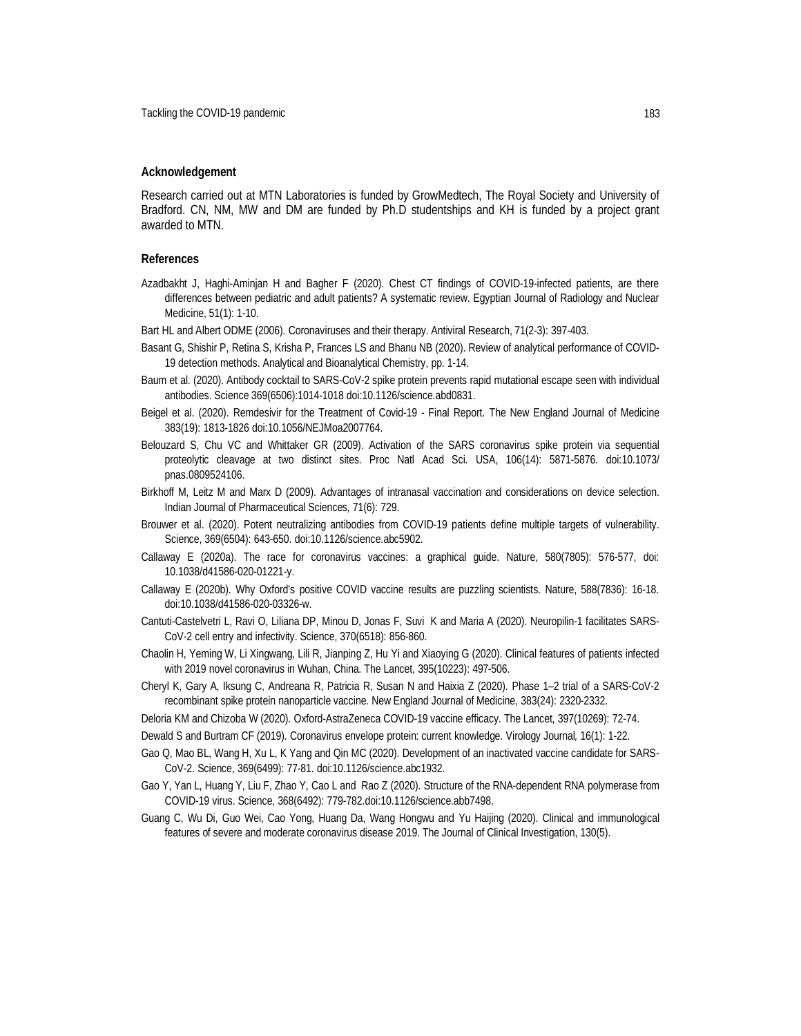#### **Acknowledgement**

Research carried out at MTN Laboratories is funded by GrowMedtech, The Royal Society and University of Bradford. CN, NM, MW and DM are funded by Ph.D studentships and KH is funded by a project grant awarded to MTN.

#### **References**

- Azadbakht J, Haghi-Aminjan H and Bagher F (2020). Chest CT findings of COVID-19-infected patients, are there differences between pediatric and adult patients? A systematic review. Egyptian Journal of Radiology and Nuclear Medicine, 51(1): 1-10.
- Bart HL and Albert ODME (2006). Coronaviruses and their therapy. Antiviral Research, 71(2-3): 397-403.
- Basant G, Shishir P, Retina S, Krisha P, Frances LS and Bhanu NB (2020). Review of analytical performance of COVID-19 detection methods. Analytical and Bioanalytical Chemistry, pp. 1-14.
- Baum et al. (2020). Antibody cocktail to SARS-CoV-2 spike protein prevents rapid mutational escape seen with individual antibodies. Science 369(6506):1014-1018 doi:10.1126/science.abd0831.
- Beigel et al. (2020). Remdesivir for the Treatment of Covid-19 Final Report. The New England Journal of Medicine 383(19): 1813-1826 doi:10.1056/NEJMoa2007764.
- Belouzard S, Chu VC and Whittaker GR (2009). Activation of the SARS coronavirus spike protein via sequential proteolytic cleavage at two distinct sites. Proc Natl Acad Sci. USA, 106(14): 5871-5876. doi:10.1073/ pnas.0809524106.
- Birkhoff M, Leitz M and Marx D (2009). Advantages of intranasal vaccination and considerations on device selection. Indian Journal of Pharmaceutical Sciences*,* 71(6): 729.
- Brouwer et al. (2020). Potent neutralizing antibodies from COVID-19 patients define multiple targets of vulnerability. Science, 369(6504): 643-650. doi:10.1126/science.abc5902.
- Callaway E (2020a). The race for coronavirus vaccines: a graphical guide. Nature, 580(7805): 576-577, doi: 10.1038/d41586-020-01221-y.
- Callaway E (2020b). Why Oxford's positive COVID vaccine results are puzzling scientists. Nature, 588(7836): 16-18. doi:10.1038/d41586-020-03326-w.
- Cantuti-Castelvetri L, Ravi O, Liliana DP, Minou D, Jonas F, Suvi K and Maria A (2020). Neuropilin-1 facilitates SARS-CoV-2 cell entry and infectivity. Science, 370(6518): 856-860.
- Chaolin H, Yeming W, Li Xingwang, Lili R, Jianping Z, Hu Yi and Xiaoying G (2020). Clinical features of patients infected with 2019 novel coronavirus in Wuhan, China. The Lancet, 395(10223): 497-506.
- Cheryl K, Gary A, Iksung C, Andreana R, Patricia R, Susan N and Haixia Z (2020). Phase 1–2 trial of a SARS-CoV-2 recombinant spike protein nanoparticle vaccine. New England Journal of Medicine, 383(24): 2320-2332.
- Deloria KM and Chizoba W (2020). Oxford-AstraZeneca COVID-19 vaccine efficacy. The Lancet, 397(10269): 72-74.
- Dewald S and Burtram CF (2019). Coronavirus envelope protein: current knowledge. Virology Journal*,* 16(1): 1-22.
- Gao Q, Mao BL, Wang H, Xu L, K Yang and Qin MC (2020). Development of an inactivated vaccine candidate for SARS-CoV-2. Science, 369(6499): 77-81. doi:10.1126/science.abc1932.
- Gao Y, Yan L, Huang Y, Liu F, Zhao Y, Cao L and Rao Z (2020). Structure of the RNA-dependent RNA polymerase from COVID-19 virus. Science, 368(6492): 779-782.doi:10.1126/science.abb7498.
- Guang C, Wu Di, Guo Wei, Cao Yong, Huang Da, Wang Hongwu and Yu Haijing (2020). Clinical and immunological features of severe and moderate coronavirus disease 2019. The Journal of Clinical Investigation, 130(5).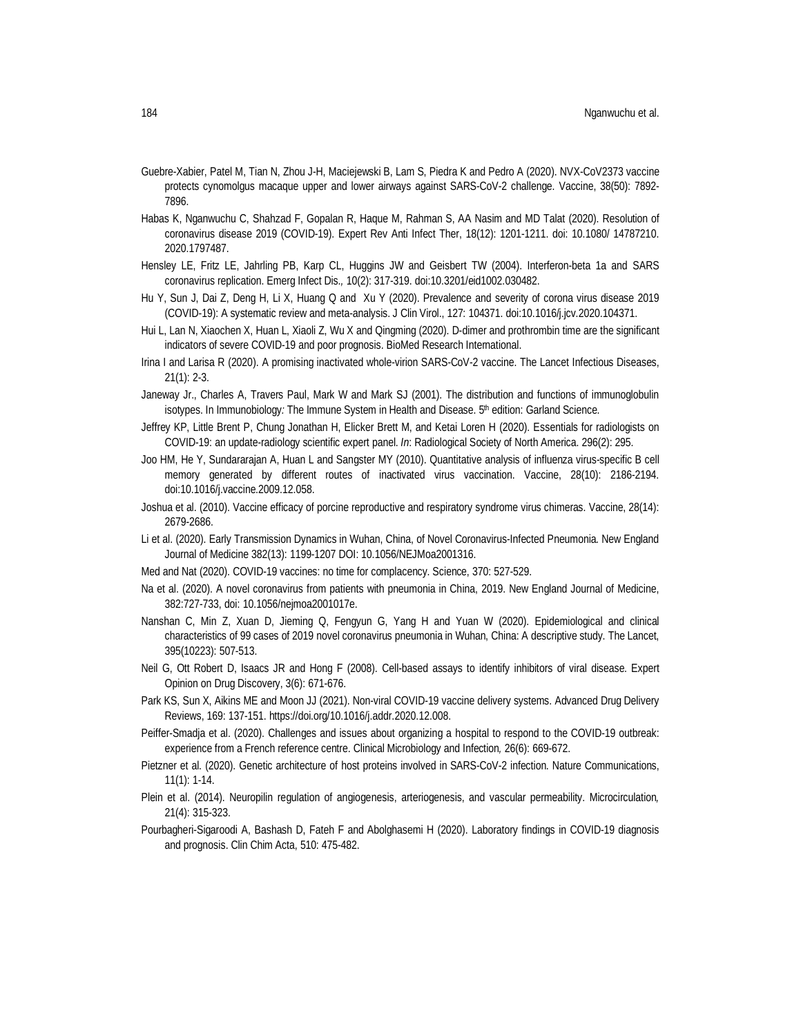- Guebre-Xabier, Patel M, Tian N, Zhou J-H, Maciejewski B, Lam S, Piedra K and Pedro A (2020). NVX-CoV2373 vaccine protects cynomolgus macaque upper and lower airways against SARS-CoV-2 challenge. Vaccine, 38(50): 7892- 7896.
- Habas K, Nganwuchu C, Shahzad F, Gopalan R, Haque M, Rahman S, AA Nasim and MD Talat (2020). Resolution of coronavirus disease 2019 (COVID-19). Expert Rev Anti Infect Ther, 18(12): 1201-1211. doi: 10.1080/ 14787210. 2020.1797487.
- Hensley LE, Fritz LE, Jahrling PB, Karp CL, Huggins JW and Geisbert TW (2004). Interferon-beta 1a and SARS coronavirus replication. Emerg Infect Dis.*,* 10(2): 317-319. doi:10.3201/eid1002.030482.
- Hu Y, Sun J, Dai Z, Deng H, Li X, Huang Q and Xu Y (2020). Prevalence and severity of corona virus disease 2019 (COVID-19): A systematic review and meta-analysis. J Clin Virol., 127: 104371. doi:10.1016/j.jcv.2020.104371.
- Hui L, Lan N, Xiaochen X, Huan L, Xiaoli Z, Wu X and Qingming (2020). D-dimer and prothrombin time are the significant indicators of severe COVID-19 and poor prognosis. BioMed Research International.
- Irina I and Larisa R (2020). A promising inactivated whole-virion SARS-CoV-2 vaccine. The Lancet Infectious Diseases, 21(1): 2-3.
- Janeway Jr., Charles A, Travers Paul, Mark W and Mark SJ (2001). The distribution and functions of immunoglobulin isotypes. In Immunobiology: The Immune System in Health and Disease. 5<sup>th</sup> edition: Garland Science.
- Jeffrey KP, Little Brent P, Chung Jonathan H, Elicker Brett M, and Ketai Loren H (2020). Essentials for radiologists on COVID-19: an update-radiology scientific expert panel. *In*: Radiological Society of North America. 296(2): 295.
- Joo HM, He Y, Sundararajan A, Huan L and Sangster MY (2010). Quantitative analysis of influenza virus-specific B cell memory generated by different routes of inactivated virus vaccination. Vaccine, 28(10): 2186-2194. doi:10.1016/j.vaccine.2009.12.058.
- Joshua et al. (2010). Vaccine efficacy of porcine reproductive and respiratory syndrome virus chimeras. Vaccine, 28(14): 2679-2686.
- Li et al. (2020). Early Transmission Dynamics in Wuhan, China, of Novel Coronavirus-Infected Pneumonia. New England Journal of Medicine 382(13): 1199-1207 DOI: 10.1056/NEJMoa2001316.
- Med and Nat (2020). COVID-19 vaccines: no time for complacency. Science, 370: 527-529.
- Na et al. (2020). A novel coronavirus from patients with pneumonia in China, 2019. New England Journal of Medicine, 382:727-733, doi: 10.1056/nejmoa2001017e.
- Nanshan C, Min Z, Xuan D, Jieming Q, Fengyun G, Yang H and Yuan W (2020). Epidemiological and clinical characteristics of 99 cases of 2019 novel coronavirus pneumonia in Wuhan, China: A descriptive study. The Lancet, 395(10223): 507-513.
- Neil G, Ott Robert D, Isaacs JR and Hong F (2008). Cell-based assays to identify inhibitors of viral disease. Expert Opinion on Drug Discovery, 3(6): 671-676.
- Park KS, Sun X, Aikins ME and Moon JJ (2021). Non-viral COVID-19 vaccine delivery systems. Advanced Drug Delivery Reviews, 169: 137-151. https://doi.org/10.1016/j.addr.2020.12.008.
- Peiffer-Smadja et al. (2020). Challenges and issues about organizing a hospital to respond to the COVID-19 outbreak: experience from a French reference centre. Clinical Microbiology and Infection*,* 26(6): 669-672.
- Pietzner et al. (2020). Genetic architecture of host proteins involved in SARS-CoV-2 infection. Nature Communications, 11(1): 1-14.
- Plein et al. (2014). Neuropilin regulation of angiogenesis, arteriogenesis, and vascular permeability. Microcirculation*,*  21(4): 315-323.
- Pourbagheri-Sigaroodi A, Bashash D, Fateh F and Abolghasemi H (2020). Laboratory findings in COVID-19 diagnosis and prognosis. Clin Chim Acta, 510: 475-482.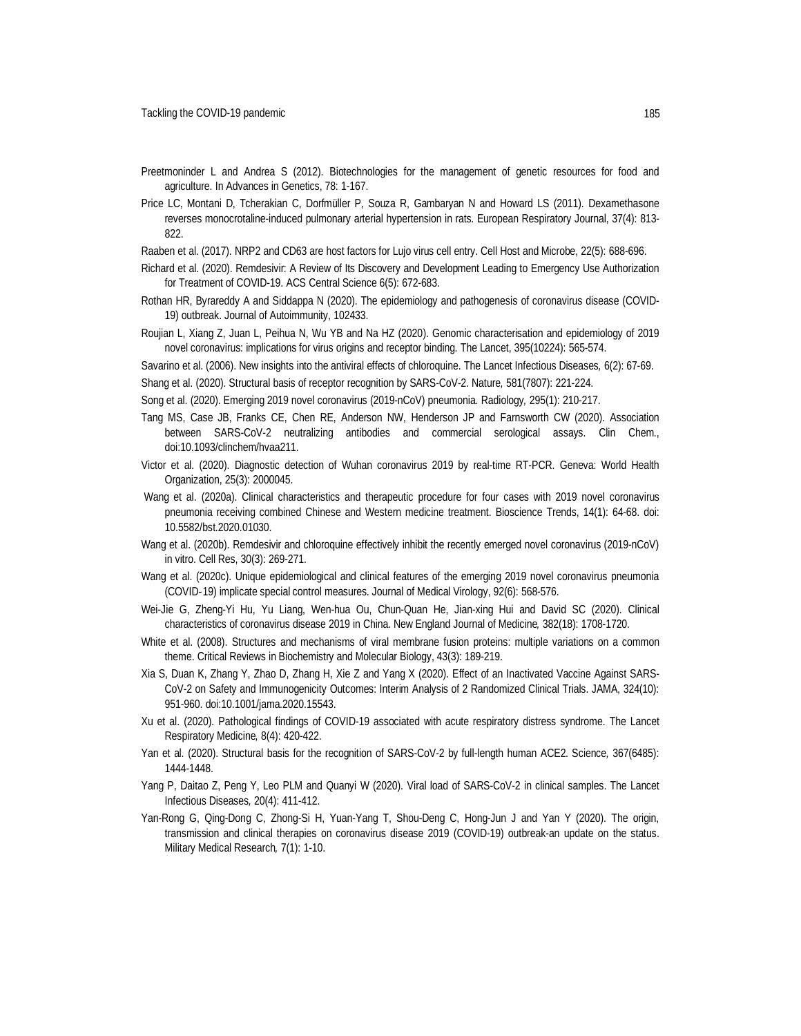- Preetmoninder L and Andrea S (2012). Biotechnologies for the management of genetic resources for food and agriculture. In Advances in Genetics, 78: 1-167.
- Price LC, Montani D, Tcherakian C, Dorfmüller P, Souza R, Gambaryan N and Howard LS (2011). Dexamethasone reverses monocrotaline-induced pulmonary arterial hypertension in rats. European Respiratory Journal, 37(4): 813- 822.
- Raaben et al. (2017). NRP2 and CD63 are host factors for Lujo virus cell entry. Cell Host and Microbe, 22(5): 688-696.
- Richard et al. (2020). Remdesivir: A Review of Its Discovery and Development Leading to Emergency Use Authorization for Treatment of COVID-19. ACS Central Science 6(5): 672-683.
- Rothan HR, Byrareddy A and Siddappa N (2020). The epidemiology and pathogenesis of coronavirus disease (COVID-19) outbreak. Journal of Autoimmunity, 102433.
- Roujian L, Xiang Z, Juan L, Peihua N, Wu YB and Na HZ (2020). Genomic characterisation and epidemiology of 2019 novel coronavirus: implications for virus origins and receptor binding. The Lancet, 395(10224): 565-574.
- Savarino et al. (2006). New insights into the antiviral effects of chloroquine. The Lancet Infectious Diseases*,* 6(2): 67-69. Shang et al. (2020). Structural basis of receptor recognition by SARS-CoV-2. Nature*,* 581(7807): 221-224.
- Song et al. (2020). Emerging 2019 novel coronavirus (2019-nCoV) pneumonia. Radiology*,* 295(1): 210-217.
- Tang MS, Case JB, Franks CE, Chen RE, Anderson NW, Henderson JP and Farnsworth CW (2020). Association between SARS-CoV-2 neutralizing antibodies and commercial serological assays. Clin Chem., doi:10.1093/clinchem/hvaa211.
- Victor et al. (2020). Diagnostic detection of Wuhan coronavirus 2019 by real-time RT-PCR. Geneva: World Health Organization, 25(3): 2000045.
- Wang et al. (2020a). Clinical characteristics and therapeutic procedure for four cases with 2019 novel coronavirus pneumonia receiving combined Chinese and Western medicine treatment. Bioscience Trends, 14(1): 64-68. doi: 10.5582/bst.2020.01030.
- Wang et al. (2020b). Remdesivir and chloroquine effectively inhibit the recently emerged novel coronavirus (2019-nCoV) in vitro. Cell Res, 30(3): 269-271.
- Wang et al. (2020c). Unique epidemiological and clinical features of the emerging 2019 novel coronavirus pneumonia (COVID‐19) implicate special control measures. Journal of Medical Virology, 92(6): 568-576.
- Wei-Jie G, Zheng-Yi Hu, Yu Liang, Wen-hua Ou, Chun-Quan He, Jian-xing Hui and David SC (2020). Clinical characteristics of coronavirus disease 2019 in China. New England Journal of Medicine*,* 382(18): 1708-1720.
- White et al. (2008). Structures and mechanisms of viral membrane fusion proteins: multiple variations on a common theme. Critical Reviews in Biochemistry and Molecular Biology, 43(3): 189-219.
- Xia S, Duan K, Zhang Y, Zhao D, Zhang H, Xie Z and Yang X (2020). Effect of an Inactivated Vaccine Against SARS-CoV-2 on Safety and Immunogenicity Outcomes: Interim Analysis of 2 Randomized Clinical Trials. JAMA, 324(10): 951-960. doi:10.1001/jama.2020.15543.
- Xu et al. (2020). Pathological findings of COVID-19 associated with acute respiratory distress syndrome. The Lancet Respiratory Medicine*,* 8(4): 420-422.
- Yan et al. (2020). Structural basis for the recognition of SARS-CoV-2 by full-length human ACE2. Science*,* 367(6485): 1444-1448.
- Yang P, Daitao Z, Peng Y, Leo PLM and Quanyi W (2020). Viral load of SARS-CoV-2 in clinical samples. The Lancet Infectious Diseases*,* 20(4): 411-412.
- Yan-Rong G, Qing-Dong C, Zhong-Si H, Yuan-Yang T, Shou-Deng C, Hong-Jun J and Yan Y (2020). The origin, transmission and clinical therapies on coronavirus disease 2019 (COVID-19) outbreak-an update on the status. Military Medical Research*,* 7(1): 1-10.